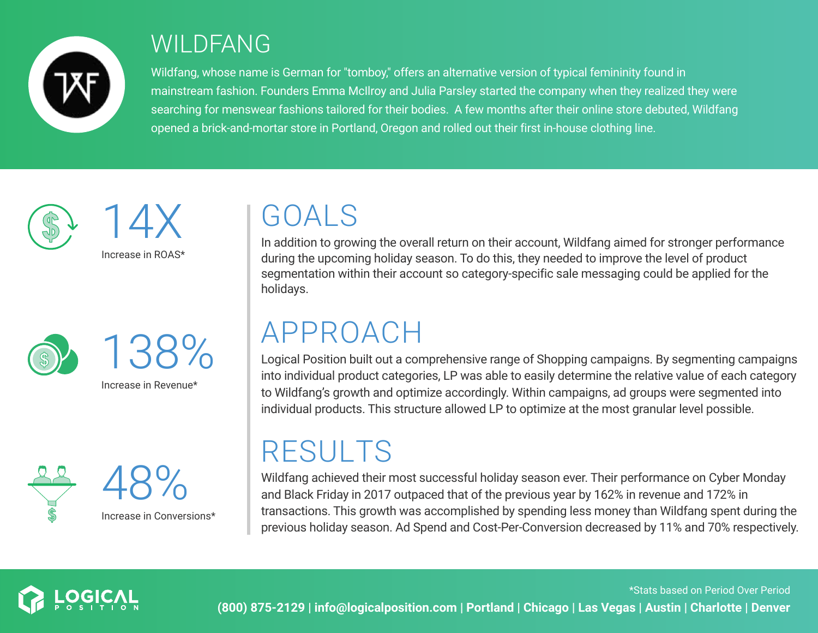

#### WILDFANG

Wildfang, whose name is German for "tomboy," offers an alternative version of typical femininity found in mainstream fashion. Founders Emma McIlroy and Julia Parsley started the company when they realized they were searching for menswear fashions tailored for their bodies. A few months after their online store debuted, Wildfang opened a brick-and-mortar store in Portland, Oregon and rolled out their first in-house clothing line.





138%

Increase in Revenue\*



GOALS

In addition to growing the overall return on their account, Wildfang aimed for stronger performance during the upcoming holiday season. To do this, they needed to improve the level of product segmentation within their account so category-specific sale messaging could be applied for the holidays.

#### APPROACH

Logical Position built out a comprehensive range of Shopping campaigns. By segmenting campaigns into individual product categories, LP was able to easily determine the relative value of each category to Wildfang's growth and optimize accordingly. Within campaigns, ad groups were segmented into individual products. This structure allowed LP to optimize at the most granular level possible.

## RESULTS

Wildfang achieved their most successful holiday season ever. Their performance on Cyber Monday and Black Friday in 2017 outpaced that of the previous year by 162% in revenue and 172% in transactions. This growth was accomplished by spending less money than Wildfang spent during the previous holiday season. Ad Spend and Cost-Per-Conversion decreased by 11% and 70% respectively.

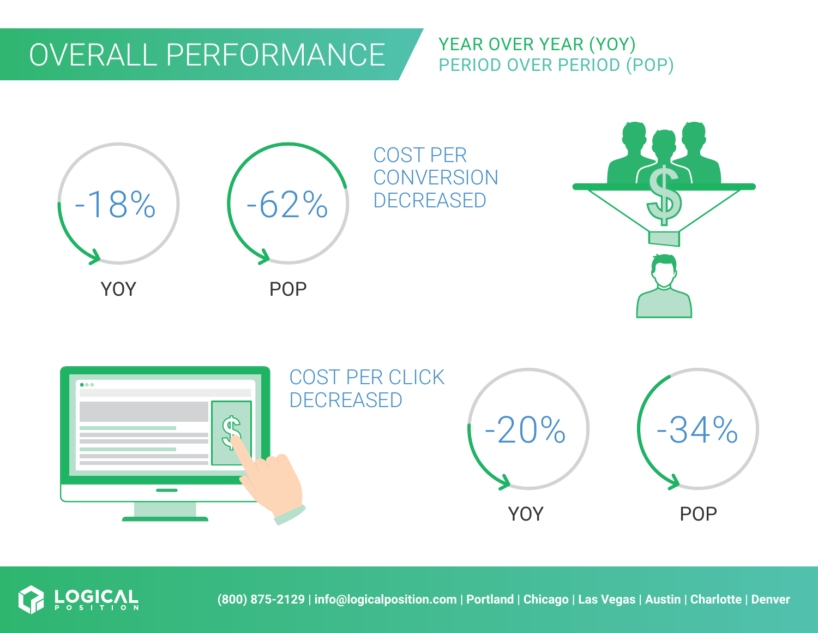### OVERALL PERFORMANCE

#### YEAR OVER YEAR (YOY) PERIOD OVER PERIOD (POP)





**(800) 875-2129 | info@logicalposition.com | Portland | Chicago | Las Vegas | Austin | Charlotte | Denver**